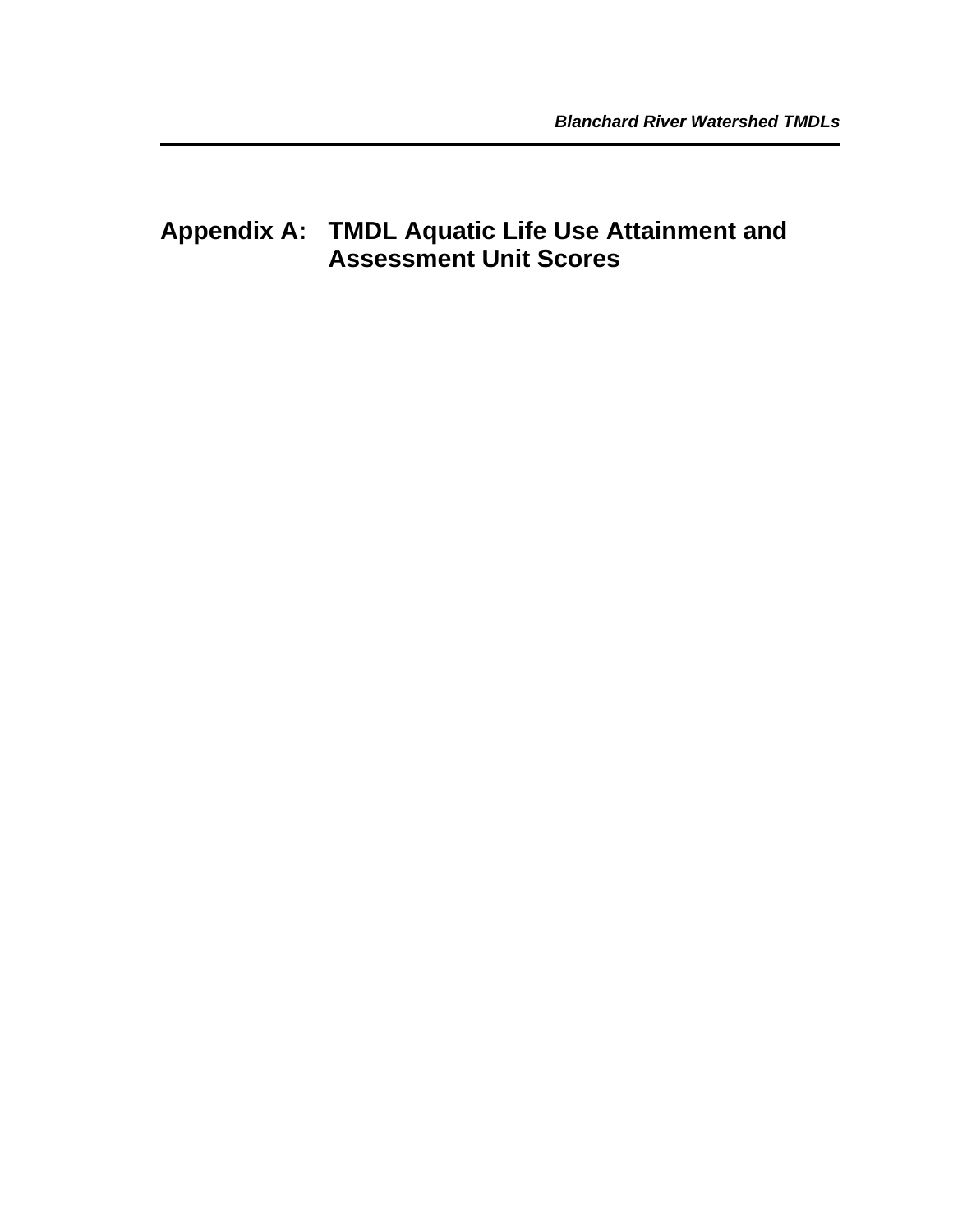# **Appendix A: TMDL Aquatic Life Use Attainment and Assessment Unit Scores**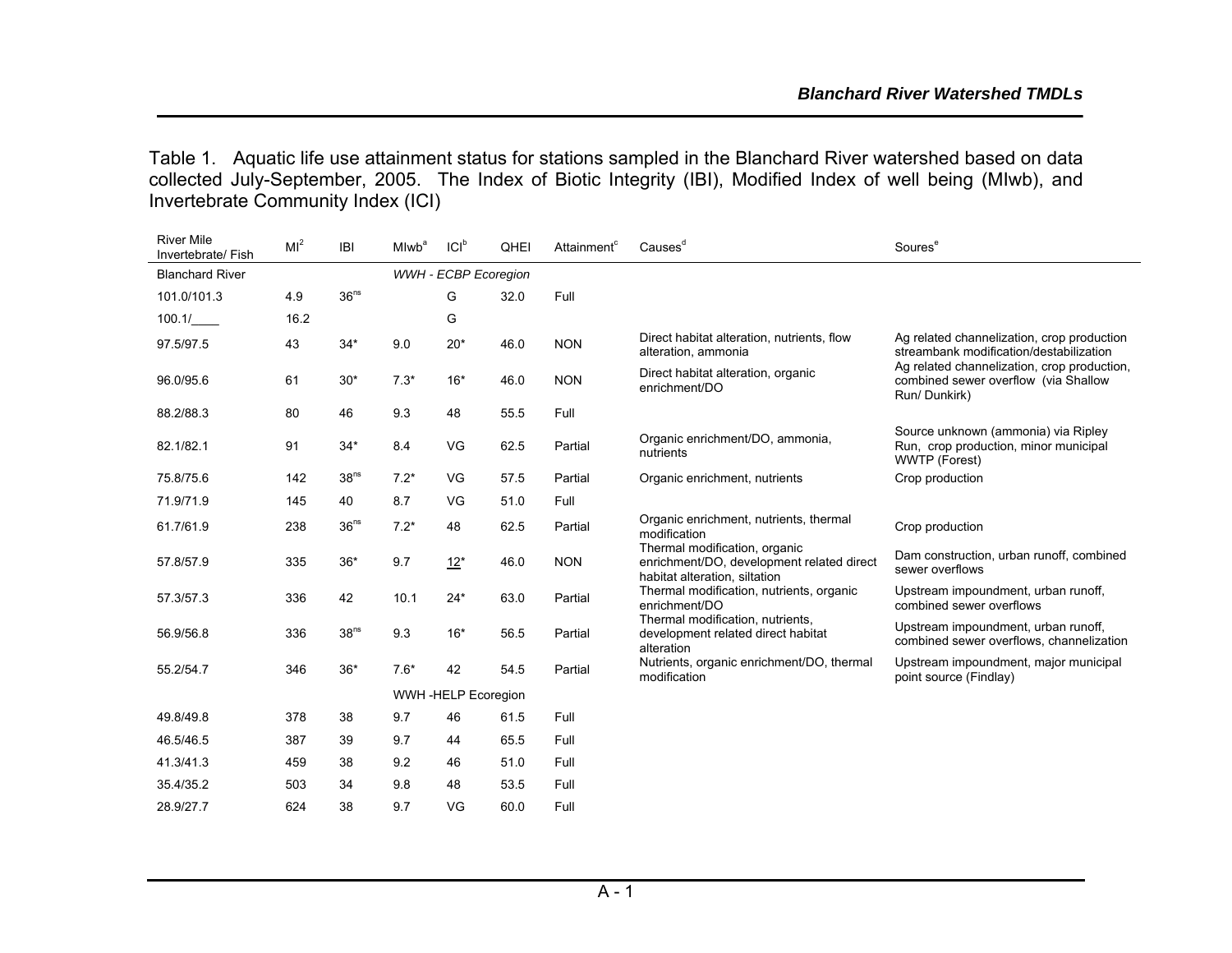Table 1. Aquatic life use attainment status for stations sampled in the Blanchard River watershed based on data collected July-September, 2005. The Index of Biotic Integrity (IBI), Modified Index of well being (MIwb), and Invertebrate Community Index (ICI)

| <b>River Mile</b><br>Invertebrate/Fish | MI <sup>2</sup> | <b>IBI</b>       | Mlwb <sup>a</sup> | CI <sub>p</sub>      | QHEI | Attainment <sup>c</sup> | Causes <sup>d</sup>                                                                                         | Soures <sup>e</sup>                                                                                 |
|----------------------------------------|-----------------|------------------|-------------------|----------------------|------|-------------------------|-------------------------------------------------------------------------------------------------------------|-----------------------------------------------------------------------------------------------------|
| <b>Blanchard River</b>                 |                 |                  |                   | WWH - ECBP Ecoregion |      |                         |                                                                                                             |                                                                                                     |
| 101.0/101.3                            | 4.9             | 36 <sup>ns</sup> |                   | G                    | 32.0 | Full                    |                                                                                                             |                                                                                                     |
| 100.1/                                 | 16.2            |                  |                   | G                    |      |                         |                                                                                                             |                                                                                                     |
| 97.5/97.5                              | 43              | $34*$            | 9.0               | $20*$                | 46.0 | <b>NON</b>              | Direct habitat alteration, nutrients, flow<br>alteration, ammonia                                           | Ag related channelization, crop production<br>streambank modification/destabilization               |
| 96.0/95.6                              | 61              | $30*$            | $7.3*$            | $16*$                | 46.0 | <b>NON</b>              | Direct habitat alteration, organic<br>enrichment/DO                                                         | Ag related channelization, crop production,<br>combined sewer overflow (via Shallow<br>Run/Dunkirk) |
| 88.2/88.3                              | 80              | 46               | 9.3               | 48                   | 55.5 | Full                    |                                                                                                             |                                                                                                     |
| 82.1/82.1                              | 91              | $34*$            | 8.4               | VG                   | 62.5 | Partial                 | Organic enrichment/DO, ammonia,<br>nutrients                                                                | Source unknown (ammonia) via Ripley<br>Run, crop production, minor municipal<br>WWTP (Forest)       |
| 75.8/75.6                              | 142             | 38 <sup>ns</sup> | $7.2*$            | VG                   | 57.5 | Partial                 | Organic enrichment, nutrients                                                                               | Crop production                                                                                     |
| 71.9/71.9                              | 145             | 40               | 8.7               | VG                   | 51.0 | Full                    |                                                                                                             |                                                                                                     |
| 61.7/61.9                              | 238             | 36 <sup>ns</sup> | $7.2*$            | 48                   | 62.5 | Partial                 | Organic enrichment, nutrients, thermal<br>modification                                                      | Crop production                                                                                     |
| 57.8/57.9                              | 335             | $36*$            | 9.7               | $12*$                | 46.0 | <b>NON</b>              | Thermal modification, organic<br>enrichment/DO, development related direct<br>habitat alteration, siltation | Dam construction, urban runoff, combined<br>sewer overflows                                         |
| 57.3/57.3                              | 336             | 42               | 10.1              | $24*$                | 63.0 | Partial                 | Thermal modification, nutrients, organic<br>enrichment/DO                                                   | Upstream impoundment, urban runoff,<br>combined sewer overflows                                     |
| 56.9/56.8                              | 336             | 38 <sup>ns</sup> | 9.3               | $16*$                | 56.5 | Partial                 | Thermal modification, nutrients,<br>development related direct habitat<br>alteration                        | Upstream impoundment, urban runoff,<br>combined sewer overflows, channelization                     |
| 55.2/54.7                              | 346             | $36*$            | $7.6*$            | 42                   | 54.5 | Partial                 | Nutrients, organic enrichment/DO, thermal<br>modification                                                   | Upstream impoundment, major municipal<br>point source (Findlay)                                     |
|                                        |                 |                  |                   | WWH -HELP Ecoregion  |      |                         |                                                                                                             |                                                                                                     |
| 49.8/49.8                              | 378             | 38               | 9.7               | 46                   | 61.5 | Full                    |                                                                                                             |                                                                                                     |
| 46.5/46.5                              | 387             | 39               | 9.7               | 44                   | 65.5 | Full                    |                                                                                                             |                                                                                                     |
| 41.3/41.3                              | 459             | 38               | 9.2               | 46                   | 51.0 | Full                    |                                                                                                             |                                                                                                     |
| 35.4/35.2                              | 503             | 34               | 9.8               | 48                   | 53.5 | Full                    |                                                                                                             |                                                                                                     |
| 28.9/27.7                              | 624             | 38               | 9.7               | VG                   | 60.0 | Full                    |                                                                                                             |                                                                                                     |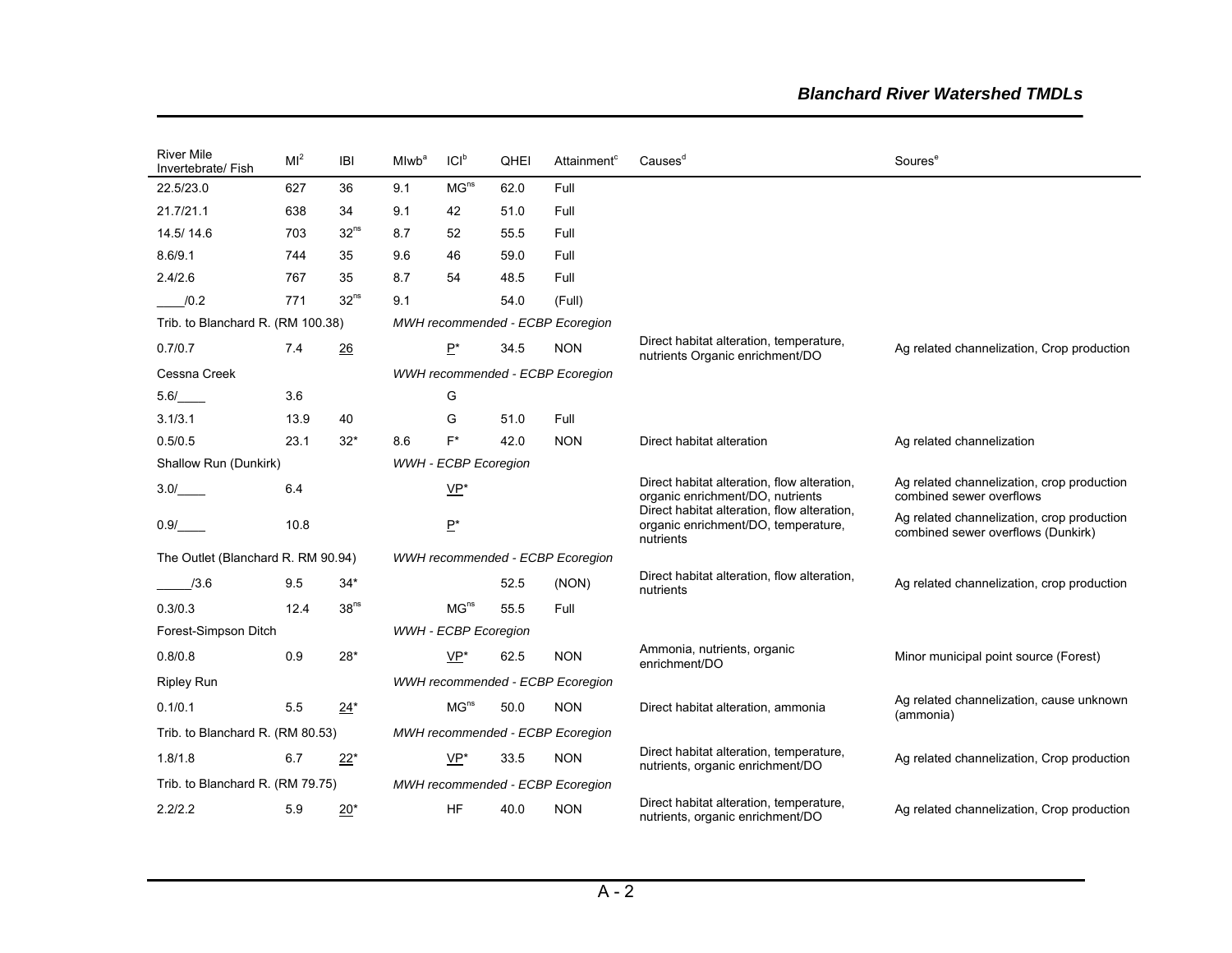| <b>River Mile</b><br>Invertebrate/ Fish | $MI^2$ | IBI              | Mlwb <sup>a</sup> | Cl <sub>p</sub>      | QHEI | Attainment <sup>c</sup>          | Causes <sup>d</sup>                                                                             | Soures <sup>e</sup>                                                              |
|-----------------------------------------|--------|------------------|-------------------|----------------------|------|----------------------------------|-------------------------------------------------------------------------------------------------|----------------------------------------------------------------------------------|
| 22.5/23.0                               | 627    | 36               | 9.1               | MG <sup>ns</sup>     | 62.0 | Full                             |                                                                                                 |                                                                                  |
| 21.7/21.1                               | 638    | 34               | 9.1               | 42                   | 51.0 | Full                             |                                                                                                 |                                                                                  |
| 14.5/14.6                               | 703    | 32 <sup>ns</sup> | 8.7               | 52                   | 55.5 | Full                             |                                                                                                 |                                                                                  |
| 8.6/9.1                                 | 744    | 35               | 9.6               | 46                   | 59.0 | Full                             |                                                                                                 |                                                                                  |
| 2.4/2.6                                 | 767    | 35               | 8.7               | 54                   | 48.5 | Full                             |                                                                                                 |                                                                                  |
| 10.2                                    | 771    | 32 <sup>ns</sup> | 9.1               |                      | 54.0 | (Full)                           |                                                                                                 |                                                                                  |
| Trib. to Blanchard R. (RM 100.38)       |        |                  |                   |                      |      | MWH recommended - ECBP Ecoregion |                                                                                                 |                                                                                  |
| 0.7/0.7                                 | 7.4    | $\overline{26}$  |                   | $P^*$                | 34.5 | <b>NON</b>                       | Direct habitat alteration, temperature,<br>nutrients Organic enrichment/DO                      | Ag related channelization, Crop production                                       |
| Cessna Creek                            |        |                  |                   |                      |      | WWH recommended - ECBP Ecoregion |                                                                                                 |                                                                                  |
| $5.6/\underline{\hspace{2cm}}$          | 3.6    |                  |                   | G                    |      |                                  |                                                                                                 |                                                                                  |
| 3.1/3.1                                 | 13.9   | 40               |                   | G                    | 51.0 | Full                             |                                                                                                 |                                                                                  |
| 0.5/0.5                                 | 23.1   | $32*$            | 8.6               | $F^*$                | 42.0 | <b>NON</b>                       | Direct habitat alteration                                                                       | Ag related channelization                                                        |
| Shallow Run (Dunkirk)                   |        |                  |                   | WWH - ECBP Ecoregion |      |                                  |                                                                                                 |                                                                                  |
| 3.0/                                    | 6.4    |                  |                   | $VP^*$               |      |                                  | Direct habitat alteration, flow alteration,<br>organic enrichment/DO, nutrients                 | Ag related channelization, crop production<br>combined sewer overflows           |
| 0.9/                                    | 10.8   |                  |                   | $P^*$                |      |                                  | Direct habitat alteration, flow alteration,<br>organic enrichment/DO, temperature,<br>nutrients | Ag related channelization, crop production<br>combined sewer overflows (Dunkirk) |
| The Outlet (Blanchard R. RM 90.94)      |        |                  |                   |                      |      | WWH recommended - ECBP Ecoregion |                                                                                                 |                                                                                  |
| /3.6                                    | 9.5    | $34*$            |                   |                      | 52.5 | (NON)                            | Direct habitat alteration, flow alteration,<br>nutrients                                        | Ag related channelization, crop production                                       |
| 0.3/0.3                                 | 12.4   | 38 <sup>ns</sup> |                   | MG <sup>ns</sup>     | 55.5 | Full                             |                                                                                                 |                                                                                  |
| Forest-Simpson Ditch                    |        |                  |                   | WWH - ECBP Ecoregion |      |                                  |                                                                                                 |                                                                                  |
| 0.8/0.8                                 | 0.9    | 28*              |                   | VP*                  | 62.5 | <b>NON</b>                       | Ammonia, nutrients, organic<br>enrichment/DO                                                    | Minor municipal point source (Forest)                                            |
| <b>Ripley Run</b>                       |        |                  |                   |                      |      | WWH recommended - ECBP Ecoregion |                                                                                                 |                                                                                  |
| 0.1/0.1                                 | 5.5    | $24*$            |                   | MG <sup>ns</sup>     | 50.0 | <b>NON</b>                       | Direct habitat alteration, ammonia                                                              | Ag related channelization, cause unknown<br>(ammonia)                            |
| Trib. to Blanchard R. (RM 80.53)        |        |                  |                   |                      |      | MWH recommended - ECBP Ecoregion |                                                                                                 |                                                                                  |
| 1.8/1.8                                 | 6.7    | <u>22*</u>       |                   | VP*                  | 33.5 | <b>NON</b>                       | Direct habitat alteration, temperature,<br>nutrients, organic enrichment/DO                     | Ag related channelization, Crop production                                       |
| Trib. to Blanchard R. (RM 79.75)        |        |                  |                   |                      |      | MWH recommended - ECBP Ecoregion |                                                                                                 |                                                                                  |
| 2.2/2.2                                 | 5.9    | $20*$            |                   | <b>HF</b>            | 40.0 | <b>NON</b>                       | Direct habitat alteration, temperature,<br>nutrients, organic enrichment/DO                     | Ag related channelization, Crop production                                       |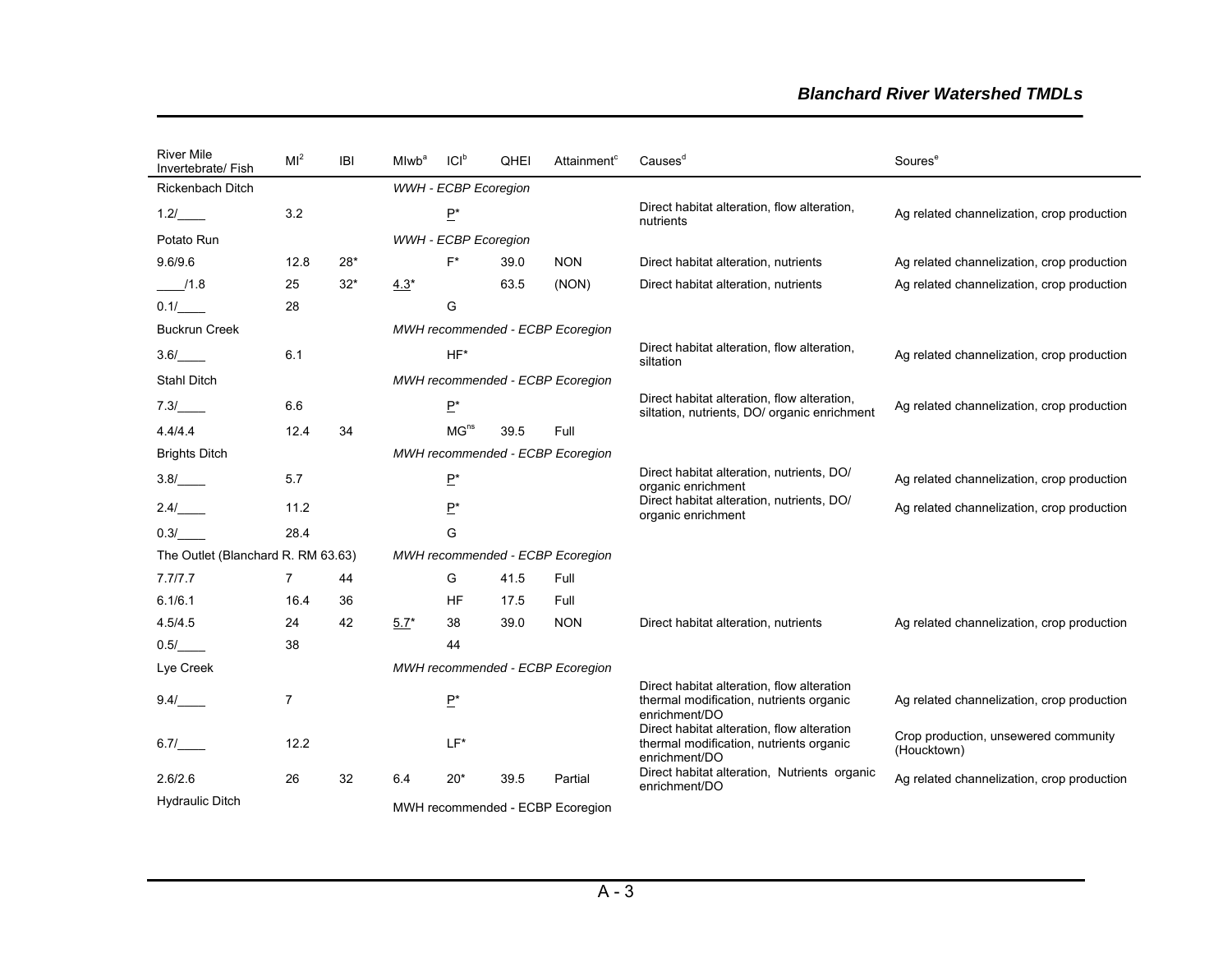| <b>River Mile</b><br>$MI^2$<br>Invertebrate/ Fish |      | IBI   | Mlwb <sup>a</sup> | Cl <sup>b</sup>                | <b>QHEI</b> | Attainment <sup>c</sup>          | Causes <sup>®</sup>                                                                                    | Soures <sup>e</sup>                                 |
|---------------------------------------------------|------|-------|-------------------|--------------------------------|-------------|----------------------------------|--------------------------------------------------------------------------------------------------------|-----------------------------------------------------|
| Rickenbach Ditch                                  |      |       |                   | WWH - ECBP Ecoregion           |             |                                  |                                                                                                        |                                                     |
| 1.2/                                              | 3.2  |       |                   | $P^*$                          |             |                                  | Direct habitat alteration, flow alteration,<br>nutrients                                               | Ag related channelization, crop production          |
| Potato Run                                        |      |       |                   | WWH - ECBP Ecoregion           |             |                                  |                                                                                                        |                                                     |
| 9.6/9.6                                           | 12.8 | $28*$ |                   | F*                             | 39.0        | <b>NON</b>                       | Direct habitat alteration, nutrients                                                                   | Ag related channelization, crop production          |
| /1.8                                              | 25   | $32*$ | $4.3*$            |                                | 63.5        | (NON)                            | Direct habitat alteration, nutrients                                                                   | Ag related channelization, crop production          |
| 0.1/                                              | 28   |       |                   | G                              |             |                                  |                                                                                                        |                                                     |
| <b>Buckrun Creek</b>                              |      |       |                   |                                |             | MWH recommended - ECBP Ecoregion |                                                                                                        |                                                     |
| 3.6/                                              | 6.1  |       |                   | $HF^*$                         |             |                                  | Direct habitat alteration, flow alteration,<br>siltation                                               | Ag related channelization, crop production          |
| <b>Stahl Ditch</b>                                |      |       |                   |                                |             | MWH recommended - ECBP Ecoregion |                                                                                                        |                                                     |
| 7.3/                                              | 6.6  |       |                   | $P^*$                          |             |                                  | Direct habitat alteration, flow alteration,<br>siltation, nutrients, DO/ organic enrichment            | Ag related channelization, crop production          |
| 4.4/4.4                                           | 12.4 | 34    |                   | MG <sup>ns</sup>               | 39.5        | Full                             |                                                                                                        |                                                     |
| <b>Brights Ditch</b>                              |      |       |                   |                                |             | MWH recommended - ECBP Ecoregion |                                                                                                        |                                                     |
| 3.8/                                              | 5.7  |       |                   | $\underline{\mathsf{P}}^\star$ |             |                                  | Direct habitat alteration, nutrients, DO/<br>organic enrichment                                        | Ag related channelization, crop production          |
| 2.4/                                              | 11.2 |       |                   | $P^*$                          |             |                                  | Direct habitat alteration, nutrients, DO/<br>organic enrichment                                        | Ag related channelization, crop production          |
| 0.3/                                              | 28.4 |       |                   | G                              |             |                                  |                                                                                                        |                                                     |
| The Outlet (Blanchard R. RM 63.63)                |      |       |                   |                                |             | MWH recommended - ECBP Ecoregion |                                                                                                        |                                                     |
| 7.7/7.7                                           | 7    | 44    |                   | G                              | 41.5        | Full                             |                                                                                                        |                                                     |
| 6.1/6.1                                           | 16.4 | 36    |                   | HF                             | 17.5        | Full                             |                                                                                                        |                                                     |
| 4.5/4.5                                           | 24   | 42    | $5.7*$            | 38                             | 39.0        | <b>NON</b>                       | Direct habitat alteration, nutrients                                                                   | Ag related channelization, crop production          |
| 0.5/                                              | 38   |       |                   | 44                             |             |                                  |                                                                                                        |                                                     |
| Lye Creek                                         |      |       |                   |                                |             | MWH recommended - ECBP Ecoregion |                                                                                                        |                                                     |
| 9.4/                                              | 7    |       |                   | $\underline{\mathsf{P}}^\star$ |             |                                  | Direct habitat alteration, flow alteration<br>thermal modification, nutrients organic<br>enrichment/DO | Ag related channelization, crop production          |
| 6.7/                                              | 12.2 |       |                   | LF*                            |             |                                  | Direct habitat alteration, flow alteration<br>thermal modification, nutrients organic<br>enrichment/DO | Crop production, unsewered community<br>(Houcktown) |
| 2.6/2.6                                           | 26   | 32    | 6.4               | $20*$                          | 39.5        | Partial                          | Direct habitat alteration, Nutrients organic<br>enrichment/DO                                          | Ag related channelization, crop production          |
| <b>Hydraulic Ditch</b>                            |      |       |                   |                                |             | MWH recommended - ECBP Ecoregion |                                                                                                        |                                                     |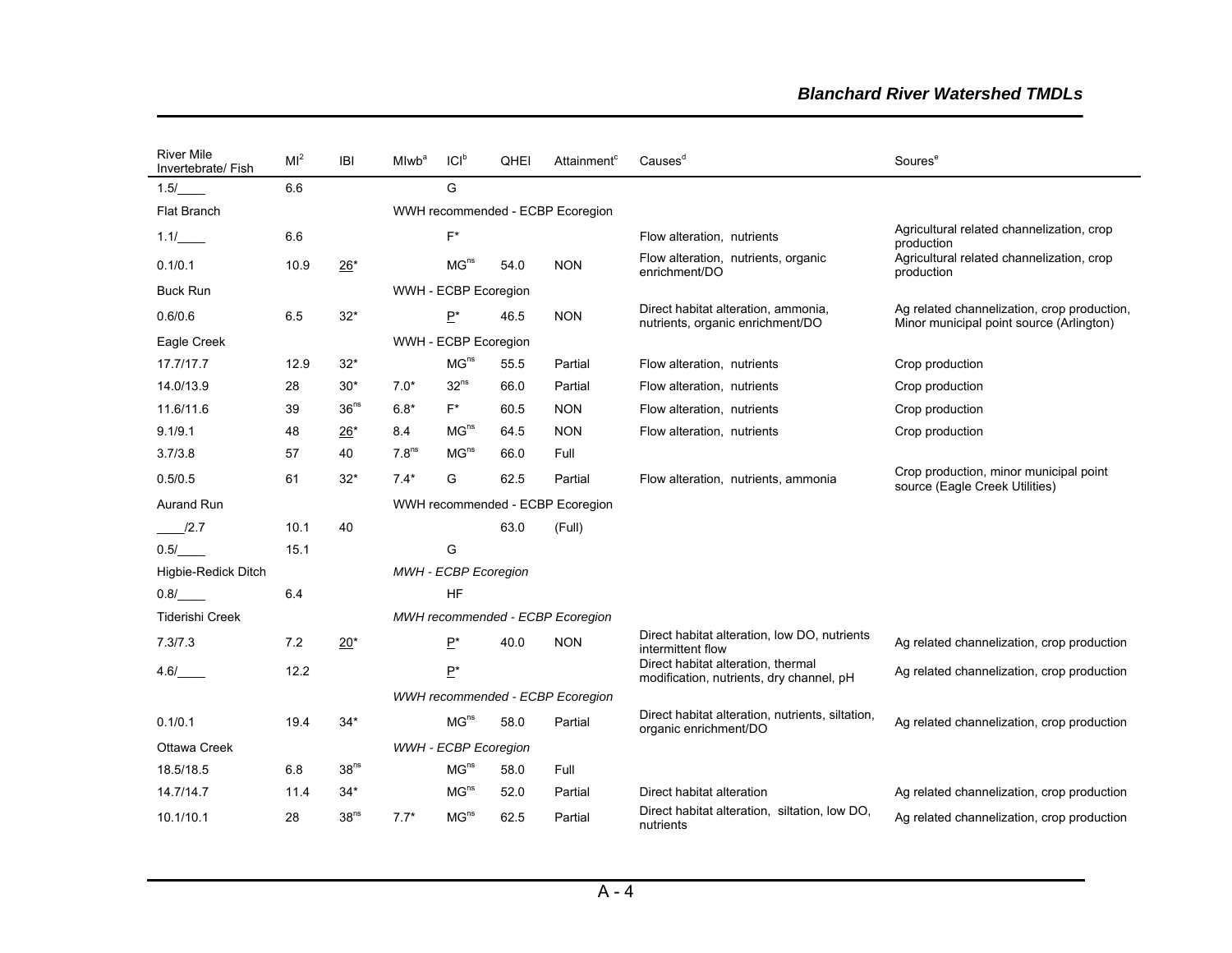| <b>River Mile</b><br>Invertebrate/ Fish | MI <sup>2</sup> | <b>IBI</b>       | Mlwb <sup>a</sup> | Cl <sub>p</sub>      | QHEI | Attainment <sup>c</sup>          | Causes <sup>d</sup>                                                            | Soures <sup>e</sup>                                                                     |
|-----------------------------------------|-----------------|------------------|-------------------|----------------------|------|----------------------------------|--------------------------------------------------------------------------------|-----------------------------------------------------------------------------------------|
| 1.5/                                    | 6.6             |                  |                   | G                    |      |                                  |                                                                                |                                                                                         |
| Flat Branch                             |                 |                  |                   |                      |      | WWH recommended - ECBP Ecoregion |                                                                                |                                                                                         |
| 1.1/                                    | 6.6             |                  |                   | $F^*$                |      |                                  | Flow alteration, nutrients                                                     | Agricultural related channelization, crop<br>production                                 |
| 0.1/0.1                                 | 10.9            | $26*$            |                   | MG <sup>ns</sup>     | 54.0 | <b>NON</b>                       | Flow alteration, nutrients, organic<br>enrichment/DO                           | Agricultural related channelization, crop<br>production                                 |
| <b>Buck Run</b>                         |                 |                  |                   | WWH - ECBP Ecoregion |      |                                  |                                                                                |                                                                                         |
| 0.6/0.6                                 | 6.5             | $32*$            |                   | $P^*$                | 46.5 | <b>NON</b>                       | Direct habitat alteration, ammonia,<br>nutrients, organic enrichment/DO        | Ag related channelization, crop production,<br>Minor municipal point source (Arlington) |
| Eagle Creek                             |                 |                  |                   | WWH - ECBP Ecoregion |      |                                  |                                                                                |                                                                                         |
| 17.7/17.7                               | 12.9            | $32*$            |                   | MG <sup>ns</sup>     | 55.5 | Partial                          | Flow alteration, nutrients                                                     | Crop production                                                                         |
| 14.0/13.9                               | 28              | $30*$            | $7.0*$            | 32 <sup>ns</sup>     | 66.0 | Partial                          | Flow alteration, nutrients                                                     | Crop production                                                                         |
| 11.6/11.6                               | 39              | 36 <sup>ns</sup> | $6.8*$            | F*                   | 60.5 | <b>NON</b>                       | Flow alteration, nutrients                                                     | Crop production                                                                         |
| 9.1/9.1                                 | 48              | $26*$            | 8.4               | MG <sup>ns</sup>     | 64.5 | <b>NON</b>                       | Flow alteration, nutrients                                                     | Crop production                                                                         |
| 3.7/3.8                                 | 57              | 40               | 7.8 <sup>ns</sup> | MG <sup>ns</sup>     | 66.0 | Full                             |                                                                                |                                                                                         |
| 0.5/0.5                                 | 61              | $32*$            | $7.4*$            | G                    | 62.5 | Partial                          | Flow alteration, nutrients, ammonia                                            | Crop production, minor municipal point<br>source (Eagle Creek Utilities)                |
| <b>Aurand Run</b>                       |                 |                  |                   |                      |      | WWH recommended - ECBP Ecoregion |                                                                                |                                                                                         |
| 12.7                                    | 10.1            | 40               |                   |                      | 63.0 | (Full)                           |                                                                                |                                                                                         |
| 0.5/                                    | 15.1            |                  |                   | G                    |      |                                  |                                                                                |                                                                                         |
| Higbie-Redick Ditch                     |                 |                  |                   | MWH - ECBP Ecoregion |      |                                  |                                                                                |                                                                                         |
| 0.8/                                    | 6.4             |                  |                   | <b>HF</b>            |      |                                  |                                                                                |                                                                                         |
| <b>Tiderishi Creek</b>                  |                 |                  |                   |                      |      | MWH recommended - ECBP Ecoregion |                                                                                |                                                                                         |
| 7.3/7.3                                 | 7.2             | $20*$            |                   | $P^*$                | 40.0 | <b>NON</b>                       | Direct habitat alteration, low DO, nutrients<br>intermittent flow              | Ag related channelization, crop production                                              |
| 4.6/                                    | 12.2            |                  |                   | $P^*$                |      |                                  | Direct habitat alteration, thermal<br>modification, nutrients, dry channel, pH | Ag related channelization, crop production                                              |
|                                         |                 |                  |                   |                      |      | WWH recommended - ECBP Ecoregion |                                                                                |                                                                                         |
| 0.1/0.1                                 | 19.4            | $34*$            |                   | MG <sup>ns</sup>     | 58.0 | Partial                          | Direct habitat alteration, nutrients, siltation,<br>organic enrichment/DO      | Ag related channelization, crop production                                              |
| Ottawa Creek                            |                 |                  |                   | WWH - ECBP Ecoregion |      |                                  |                                                                                |                                                                                         |
| 18.5/18.5                               | 6.8             | 38 <sup>ns</sup> |                   | MG <sup>ns</sup>     | 58.0 | Full                             |                                                                                |                                                                                         |
| 14.7/14.7                               | 11.4            | $34*$            |                   | MG <sup>ns</sup>     | 52.0 | Partial                          | Direct habitat alteration                                                      | Ag related channelization, crop production                                              |
| 10.1/10.1                               | 28              | 38 <sup>ns</sup> | $7.7*$            | MG <sup>ns</sup>     | 62.5 | Partial                          | Direct habitat alteration, siltation, low DO,<br>nutrients                     | Ag related channelization, crop production                                              |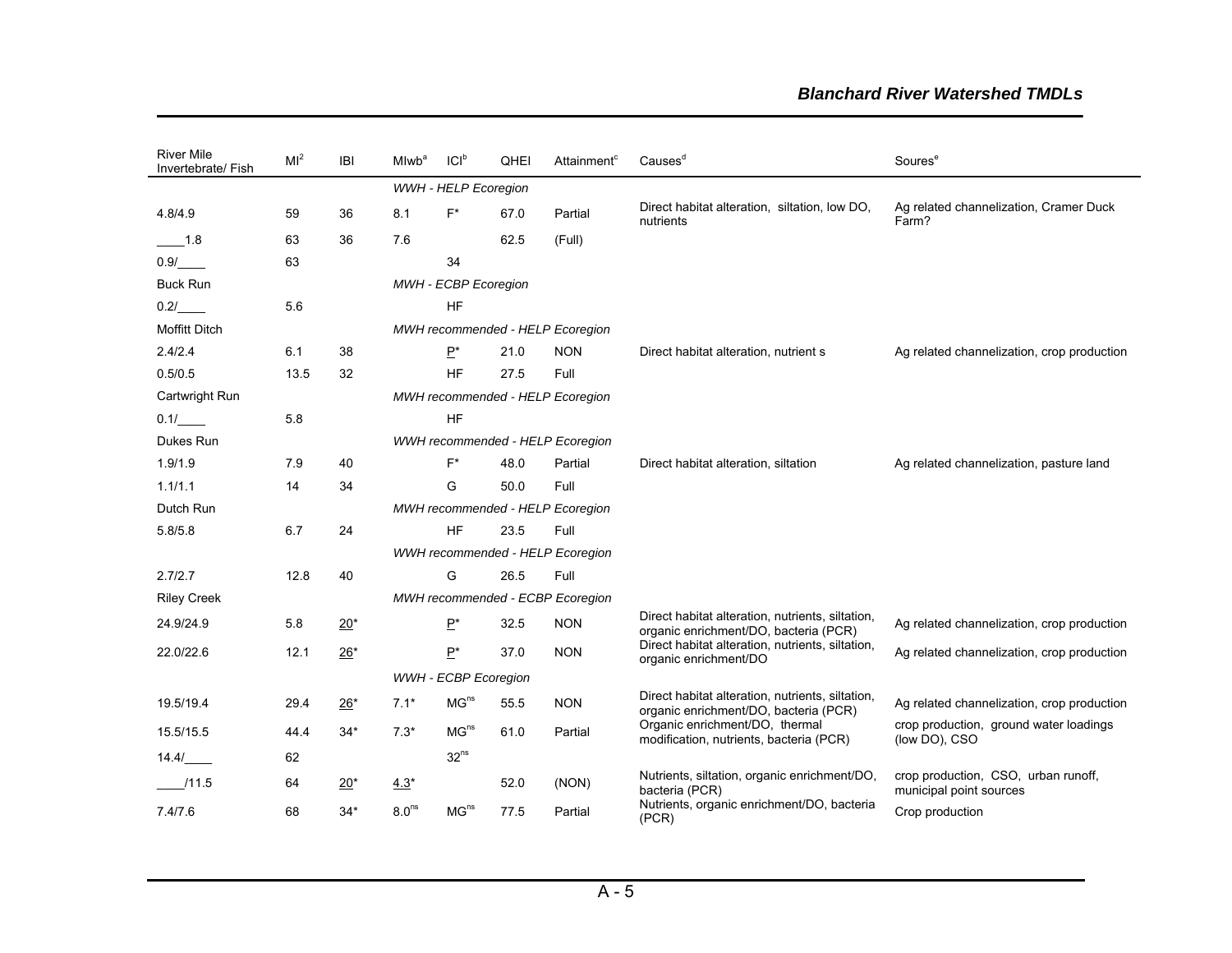| <b>River Mile</b><br>Invertebrate/ Fish | MI <sup>2</sup> | IBI   | Mlwb <sup>a</sup> | ICI <sup>b</sup>               | QHEI | Attainment <sup>c</sup>          | Causes <sup>d</sup>                                                                       | Soures <sup>e</sup>                                            |
|-----------------------------------------|-----------------|-------|-------------------|--------------------------------|------|----------------------------------|-------------------------------------------------------------------------------------------|----------------------------------------------------------------|
|                                         |                 |       |                   | WWH - HELP Ecoregion           |      |                                  |                                                                                           |                                                                |
| 4.8/4.9                                 | 59              | 36    | 8.1               | $F^*$                          | 67.0 | Partial                          | Direct habitat alteration, siltation, low DO,<br>nutrients                                | Ag related channelization, Cramer Duck<br>Farm?                |
| 1.8                                     | 63              | 36    | 7.6               |                                | 62.5 | (Full)                           |                                                                                           |                                                                |
| 0.9/                                    | 63              |       |                   | 34                             |      |                                  |                                                                                           |                                                                |
| <b>Buck Run</b>                         |                 |       |                   | MWH - ECBP Ecoregion           |      |                                  |                                                                                           |                                                                |
| 0.2/                                    | 5.6             |       |                   | <b>HF</b>                      |      |                                  |                                                                                           |                                                                |
| Moffitt Ditch                           |                 |       |                   |                                |      | MWH recommended - HELP Ecoregion |                                                                                           |                                                                |
| 2.4/2.4                                 | 6.1             | 38    |                   | $P^*$                          | 21.0 | <b>NON</b>                       | Direct habitat alteration, nutrient s                                                     | Ag related channelization, crop production                     |
| 0.5/0.5                                 | 13.5            | 32    |                   | <b>HF</b>                      | 27.5 | Full                             |                                                                                           |                                                                |
| Cartwright Run                          |                 |       |                   |                                |      | MWH recommended - HELP Ecoregion |                                                                                           |                                                                |
| $0.1/\_$                                | 5.8             |       |                   | <b>HF</b>                      |      |                                  |                                                                                           |                                                                |
| Dukes Run                               |                 |       |                   |                                |      | WWH recommended - HELP Ecoregion |                                                                                           |                                                                |
| 1.9/1.9                                 | 7.9             | 40    |                   | $F^*$                          | 48.0 | Partial                          | Direct habitat alteration, siltation                                                      | Ag related channelization, pasture land                        |
| 1.1/1.1                                 | 14              | 34    |                   | G                              | 50.0 | Full                             |                                                                                           |                                                                |
| Dutch Run                               |                 |       |                   |                                |      | MWH recommended - HELP Ecoregion |                                                                                           |                                                                |
| 5.8/5.8                                 | 6.7             | 24    |                   | <b>HF</b>                      | 23.5 | Full                             |                                                                                           |                                                                |
|                                         |                 |       |                   |                                |      | WWH recommended - HELP Ecoregion |                                                                                           |                                                                |
| 2.7/2.7                                 | 12.8            | 40    |                   | G                              | 26.5 | Full                             |                                                                                           |                                                                |
| <b>Riley Creek</b>                      |                 |       |                   |                                |      | MWH recommended - ECBP Ecoregion |                                                                                           |                                                                |
| 24.9/24.9                               | 5.8             | $20*$ |                   | $P^*$                          | 32.5 | <b>NON</b>                       | Direct habitat alteration, nutrients, siltation,<br>organic enrichment/DO, bacteria (PCR) | Ag related channelization, crop production                     |
| 22.0/22.6                               | 12.1            | $26*$ |                   | $\underline{\mathsf{P}}^\star$ | 37.0 | <b>NON</b>                       | Direct habitat alteration, nutrients, siltation,<br>organic enrichment/DO                 | Ag related channelization, crop production                     |
|                                         |                 |       |                   | WWH - ECBP Ecoregion           |      |                                  |                                                                                           |                                                                |
| 19.5/19.4                               | 29.4            | $26*$ | $7.1*$            | MG <sup>ns</sup>               | 55.5 | <b>NON</b>                       | Direct habitat alteration, nutrients, siltation,<br>organic enrichment/DO, bacteria (PCR) | Ag related channelization, crop production                     |
| 15.5/15.5                               | 44.4            | $34*$ | $7.3*$            | MG <sup>ns</sup>               | 61.0 | Partial                          | Organic enrichment/DO, thermal<br>modification, nutrients, bacteria (PCR)                 | crop production, ground water loadings<br>(low DO), CSO        |
| 14.4/                                   | 62              |       |                   | 32 <sup>ns</sup>               |      |                                  |                                                                                           |                                                                |
| /11.5                                   | 64              | $20*$ | $4.3*$            |                                | 52.0 | (NON)                            | Nutrients, siltation, organic enrichment/DO,<br>bacteria (PCR)                            | crop production, CSO, urban runoff,<br>municipal point sources |
| 7.4/7.6                                 | 68              | $34*$ | 8.0 <sup>ns</sup> | MG <sup>ns</sup>               | 77.5 | Partial                          | Nutrients, organic enrichment/DO, bacteria<br>(PCR)                                       | Crop production                                                |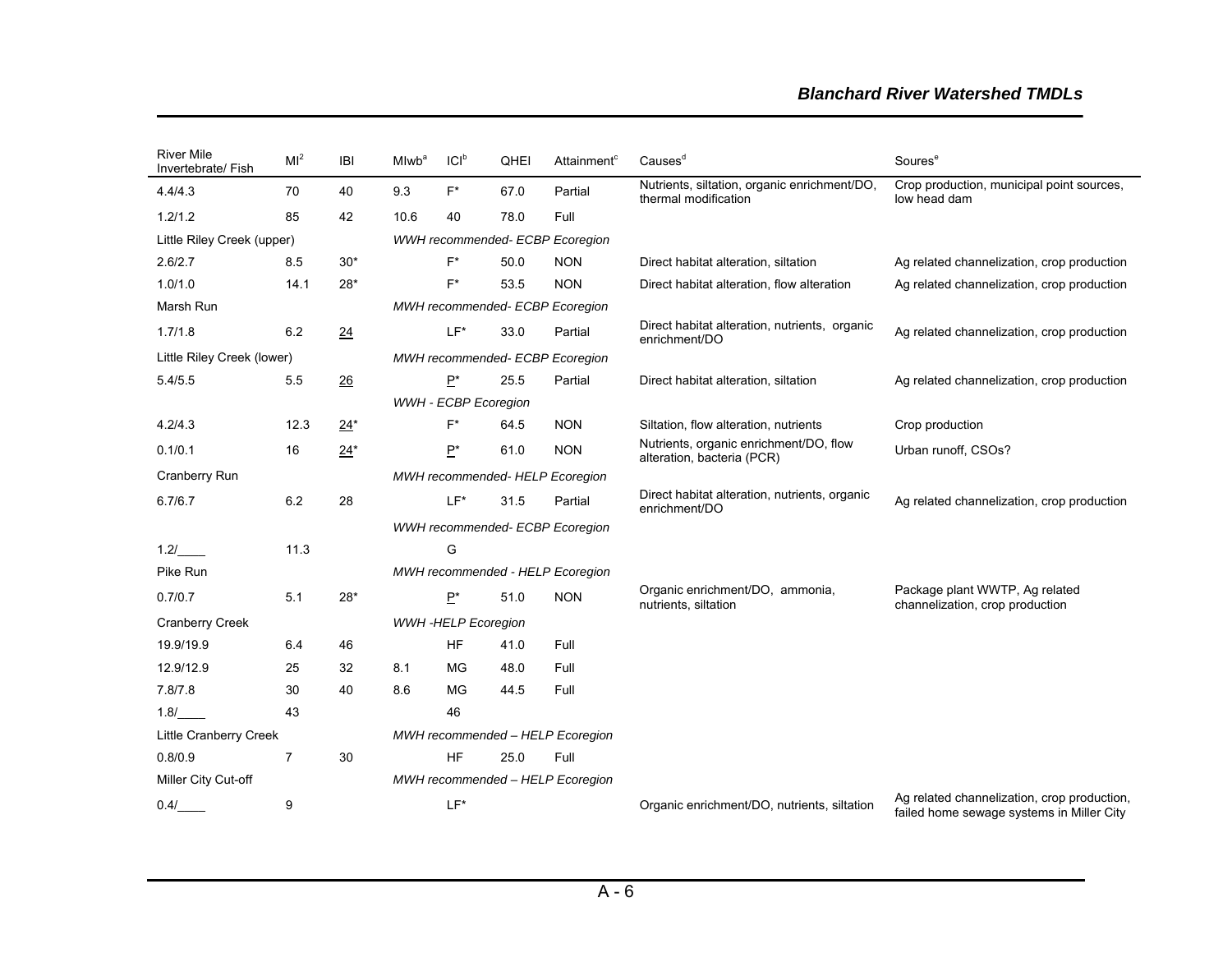| <b>River Mile</b><br>Invertebrate/ Fish | $MI^2$         | <b>IBI</b> | Mlwb <sup>a</sup> | Cl <sup>b</sup>                  | <b>QHEI</b> | Attainment <sup>c</sup>          | Causes <sup>d</sup>                                                  | Soures <sup>e</sup>                                                                      |
|-----------------------------------------|----------------|------------|-------------------|----------------------------------|-------------|----------------------------------|----------------------------------------------------------------------|------------------------------------------------------------------------------------------|
| 4.4/4.3                                 | 70             | 40         | 9.3               | $F^*$                            | 67.0        | Partial                          | Nutrients, siltation, organic enrichment/DO,<br>thermal modification | Crop production, municipal point sources,<br>low head dam                                |
| 1.2/1.2                                 | 85             | 42         | 10.6              | 40                               | 78.0        | Full                             |                                                                      |                                                                                          |
| Little Riley Creek (upper)              |                |            |                   |                                  |             | WWH recommended- ECBP Ecoregion  |                                                                      |                                                                                          |
| 2.6/2.7                                 | 8.5            | $30*$      |                   | $F^*$                            | 50.0        | <b>NON</b>                       | Direct habitat alteration, siltation                                 | Ag related channelization, crop production                                               |
| 1.0/1.0                                 | 14.1           | $28*$      |                   | $F^*$                            | 53.5        | <b>NON</b>                       | Direct habitat alteration, flow alteration                           | Ag related channelization, crop production                                               |
| Marsh Run                               |                |            |                   |                                  |             | MWH recommended- ECBP Ecoregion  |                                                                      |                                                                                          |
| 1.7/1.8                                 | 6.2            | 24         |                   | $LF*$                            | 33.0        | Partial                          | Direct habitat alteration, nutrients, organic<br>enrichment/DO       | Ag related channelization, crop production                                               |
| Little Riley Creek (lower)              |                |            |                   |                                  |             | MWH recommended- ECBP Ecoregion  |                                                                      |                                                                                          |
| 5.4/5.5                                 | 5.5            | 26         |                   | $P^*$                            | 25.5        | Partial                          | Direct habitat alteration, siltation                                 | Ag related channelization, crop production                                               |
|                                         |                |            |                   | WWH - ECBP Ecoregion             |             |                                  |                                                                      |                                                                                          |
| 4.2/4.3                                 | 12.3           | $24*$      |                   | $F^*$                            | 64.5        | <b>NON</b>                       | Siltation, flow alteration, nutrients                                | Crop production                                                                          |
| 0.1/0.1                                 | 16             | $24*$      |                   | $\underline{\mathsf{P}}^\star$   | 61.0        | <b>NON</b>                       | Nutrients, organic enrichment/DO, flow<br>alteration, bacteria (PCR) | Urban runoff, CSOs?                                                                      |
| Cranberry Run                           |                |            |                   |                                  |             | MWH recommended- HELP Ecoregion  |                                                                      |                                                                                          |
| 6.7/6.7                                 | 6.2            | 28         |                   | LF*                              | 31.5        | Partial                          | Direct habitat alteration, nutrients, organic<br>enrichment/DO       | Ag related channelization, crop production                                               |
|                                         |                |            |                   |                                  |             | WWH recommended- ECBP Ecoregion  |                                                                      |                                                                                          |
| 1.2/                                    | 11.3           |            |                   | G                                |             |                                  |                                                                      |                                                                                          |
| Pike Run                                |                |            |                   |                                  |             | MWH recommended - HELP Ecoregion |                                                                      |                                                                                          |
| 0.7/0.7                                 | 5.1            | 28*        |                   | $\underline{\mathsf{P}}^{\star}$ | 51.0        | <b>NON</b>                       | Organic enrichment/DO, ammonia,<br>nutrients, siltation              | Package plant WWTP, Ag related<br>channelization, crop production                        |
| <b>Cranberry Creek</b>                  |                |            |                   | <b>WWH-HELP Ecoregion</b>        |             |                                  |                                                                      |                                                                                          |
| 19.9/19.9                               | 6.4            | 46         |                   | HF                               | 41.0        | Full                             |                                                                      |                                                                                          |
| 12.9/12.9                               | 25             | 32         | 8.1               | МG                               | 48.0        | Full                             |                                                                      |                                                                                          |
| 7.8/7.8                                 | 30             | 40         | 8.6               | МG                               | 44.5        | Full                             |                                                                      |                                                                                          |
| 1.8/                                    | 43             |            |                   | 46                               |             |                                  |                                                                      |                                                                                          |
| Little Cranberry Creek                  |                |            |                   |                                  |             | MWH recommended - HELP Ecoregion |                                                                      |                                                                                          |
| 0.8/0.9                                 | $\overline{7}$ | 30         |                   | <b>HF</b>                        | 25.0        | Full                             |                                                                      |                                                                                          |
| Miller City Cut-off                     |                |            |                   |                                  |             | MWH recommended - HELP Ecoregion |                                                                      |                                                                                          |
| 0.4/                                    | 9              |            |                   | $LF*$                            |             |                                  | Organic enrichment/DO, nutrients, siltation                          | Ag related channelization, crop production,<br>failed home sewage systems in Miller City |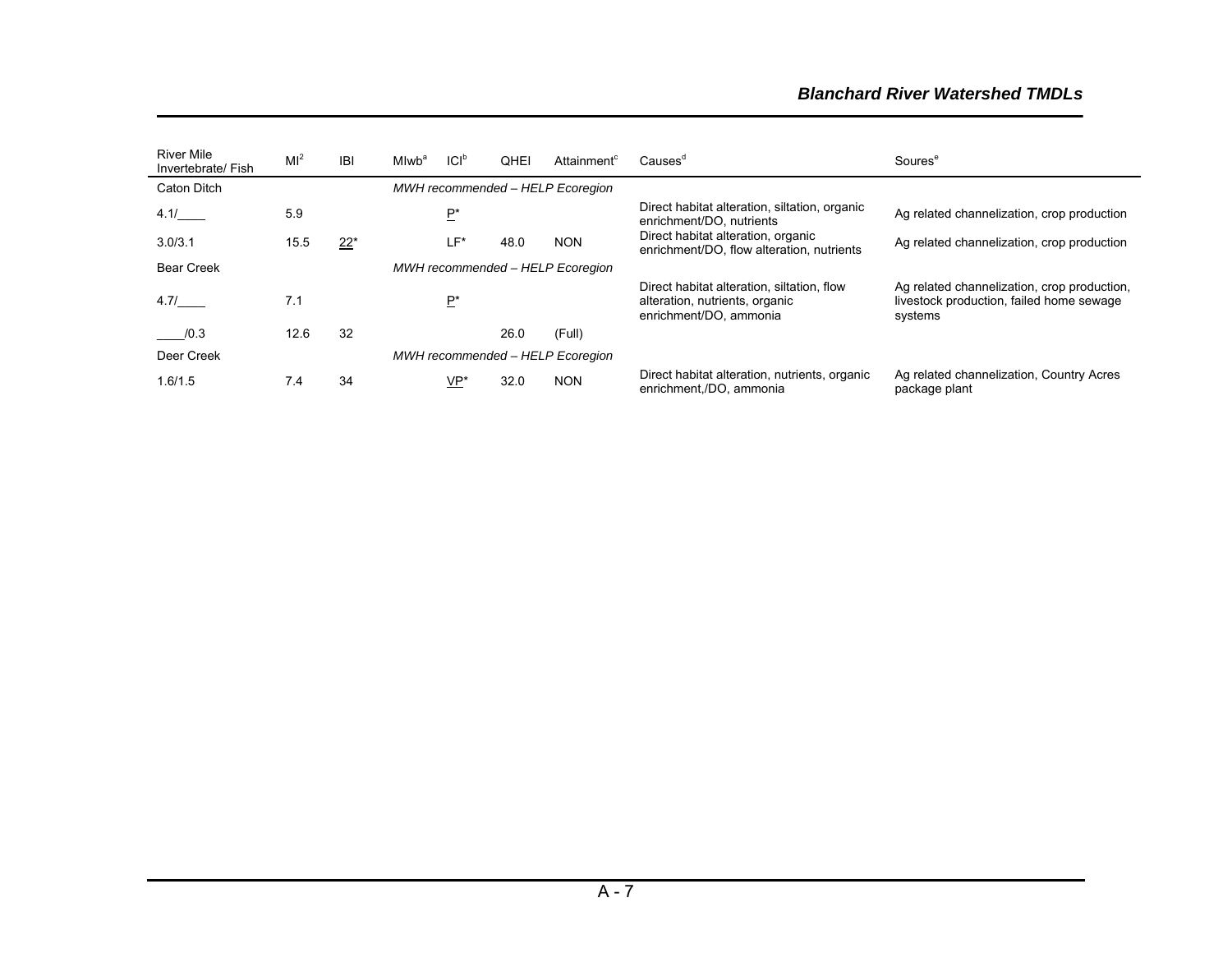| <b>River Mile</b><br>Invertebrate/ Fish | $MI^2$ | <b>IBI</b> | Mlwb <sup>a</sup> | Cl <sup>b</sup> | QHEI | Attainment <sup>c</sup>          | Causes <sup>®</sup>                                                                                    | Soures <sup>e</sup>                                                                                |
|-----------------------------------------|--------|------------|-------------------|-----------------|------|----------------------------------|--------------------------------------------------------------------------------------------------------|----------------------------------------------------------------------------------------------------|
| Caton Ditch                             |        |            |                   |                 |      | MWH recommended - HELP Ecoregion |                                                                                                        |                                                                                                    |
| 4.1/                                    | 5.9    |            |                   | P*              |      |                                  | Direct habitat alteration, siltation, organic<br>enrichment/DO, nutrients                              | Ag related channelization, crop production                                                         |
| 3.0/3.1                                 | 15.5   | $22*$      |                   | $LF^*$          | 48.0 | <b>NON</b>                       | Direct habitat alteration, organic<br>enrichment/DO, flow alteration, nutrients                        | Ag related channelization, crop production                                                         |
| <b>Bear Creek</b>                       |        |            |                   |                 |      | MWH recommended - HELP Ecoregion |                                                                                                        |                                                                                                    |
| 4.7/                                    | 7.1    |            |                   | P*              |      |                                  | Direct habitat alteration, siltation, flow<br>alteration, nutrients, organic<br>enrichment/DO, ammonia | Ag related channelization, crop production,<br>livestock production, failed home sewage<br>systems |
| /0.3                                    | 12.6   | 32         |                   |                 | 26.0 | (Full)                           |                                                                                                        |                                                                                                    |
| Deer Creek                              |        |            |                   |                 |      | MWH recommended - HELP Ecoregion |                                                                                                        |                                                                                                    |
| 1.6/1.5                                 | 7.4    | 34         |                   | VP*             | 32.0 | <b>NON</b>                       | Direct habitat alteration, nutrients, organic<br>enrichment,/DO, ammonia                               | Ag related channelization, Country Acres<br>package plant                                          |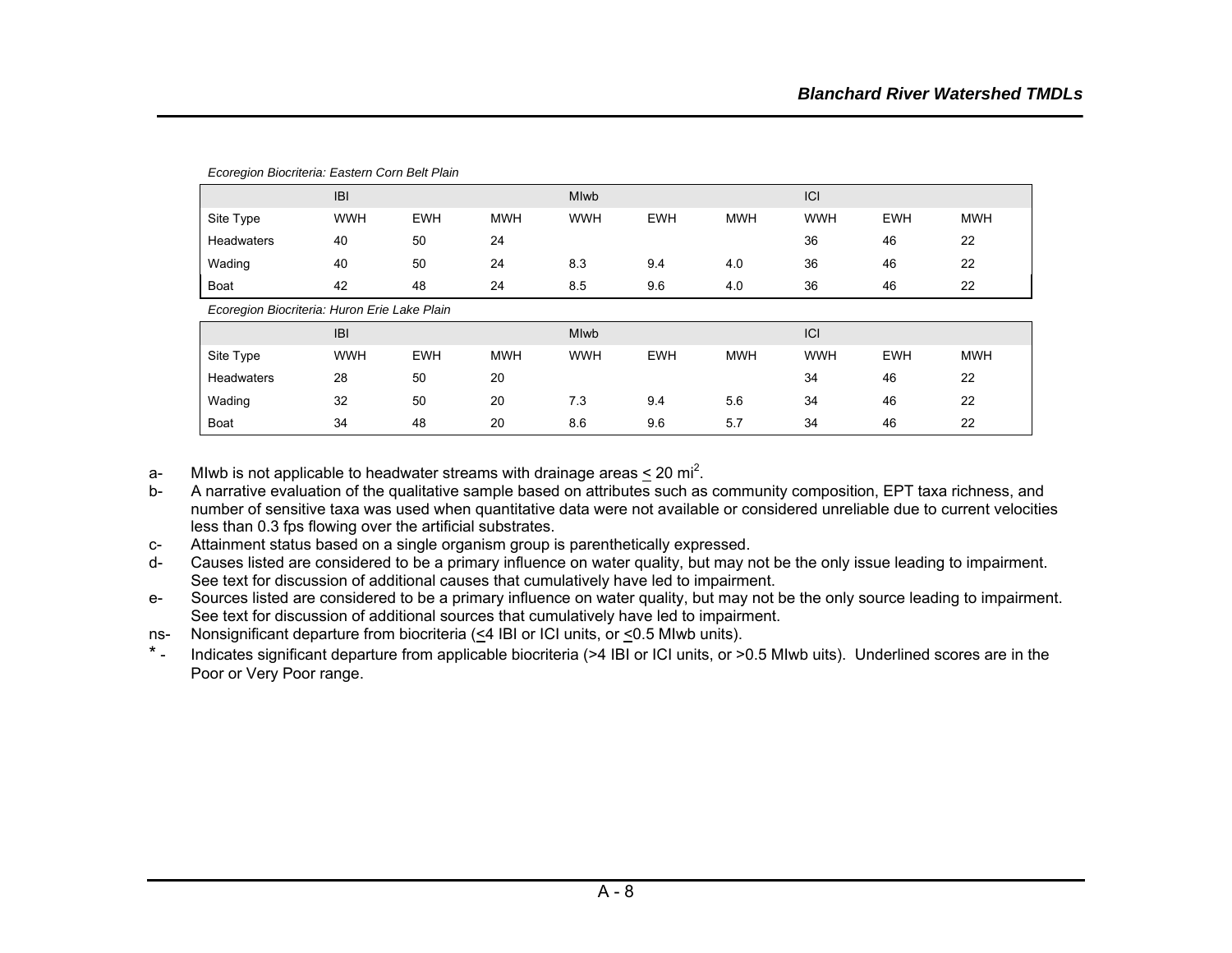| Ecoregion Blochtena. Eastern Com Belt Flam   |            |            |            |             |            |            |            |            |            |
|----------------------------------------------|------------|------------|------------|-------------|------------|------------|------------|------------|------------|
|                                              | <b>IBI</b> |            |            | <b>Mlwb</b> |            |            | ICI        |            |            |
| Site Type                                    | <b>WWH</b> | <b>EWH</b> | <b>MWH</b> | <b>WWH</b>  | <b>EWH</b> | <b>MWH</b> | <b>WWH</b> | <b>EWH</b> | <b>MWH</b> |
| <b>Headwaters</b>                            | 40         | 50         | 24         |             |            |            | 36         | 46         | 22         |
| Wading                                       | 40         | 50         | 24         | 8.3         | 9.4        | 4.0        | 36         | 46         | 22         |
| Boat                                         | 42         | 48         | 24         | 8.5         | 9.6        | 4.0        | 36         | 46         | 22         |
| Ecoregion Biocriteria: Huron Erie Lake Plain |            |            |            |             |            |            |            |            |            |
|                                              | <b>IBI</b> |            |            | <b>Mlwb</b> |            |            | ICI        |            |            |
| Site Type                                    | <b>WWH</b> | <b>EWH</b> | <b>MWH</b> | <b>WWH</b>  | <b>EWH</b> | <b>MWH</b> | <b>WWH</b> | <b>EWH</b> | <b>MWH</b> |
| <b>Headwaters</b>                            | 28         | 50         | 20         |             |            |            | 34         | 46         | 22         |
| Wading                                       | 32         | 50         | 20         | 7.3         | 9.4        | 5.6        | 34         | 46         | 22         |
| Boat                                         | 34         | 48         | 20         | 8.6         | 9.6        | 5.7        | 34         | 46         | 22         |

*Ecoregion Biocriteria: Eastern Corn Belt Plain*

a- MIwb is not applicable to headwater streams with drainage areas  $\leq 20$  mi<sup>2</sup>.

b- A narrative evaluation of the qualitative sample based on attributes such as community composition, EPT taxa richness, and number of sensitive taxa was used when quantitative data were not available or considered unreliable due to current velocities less than 0.3 fps flowing over the artificial substrates.

c- Attainment status based on a single organism group is parenthetically expressed.

d- Causes listed are considered to be a primary influence on water quality, but may not be the only issue leading to impairment. See text for discussion of additional causes that cumulatively have led to impairment.

e- Sources listed are considered to be a primary influence on water quality, but may not be the only source leading to impairment. See text for discussion of additional sources that cumulatively have led to impairment.

ns- Nonsignificant departure from biocriteria (<4 IBI or ICI units, or <0.5 MIwb units).

\* - Indicates significant departure from applicable biocriteria (>4 IBI or ICI units, or >0.5 MIwb uits). Underlined scores are in the Poor or Very Poor range.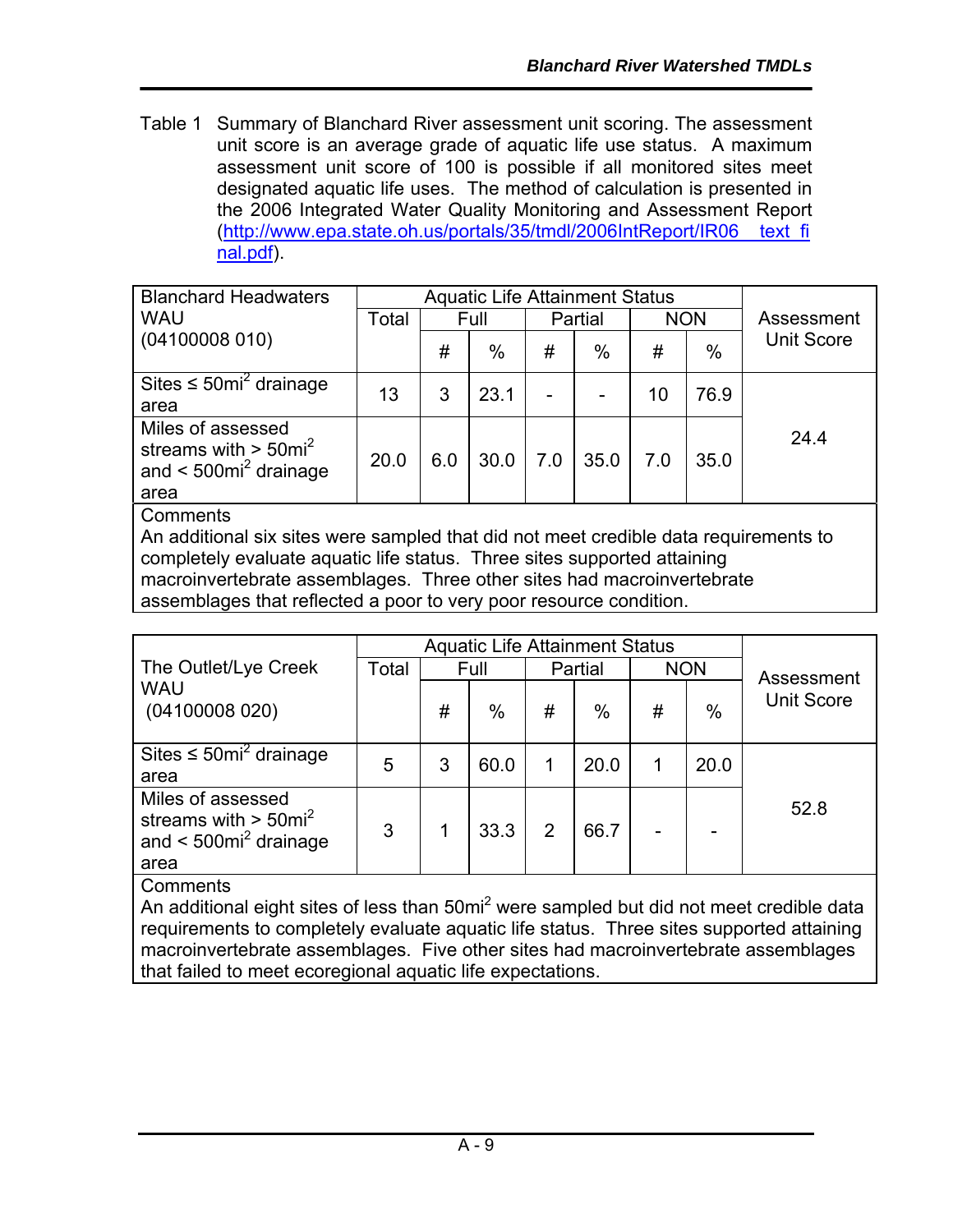Table 1 Summary of Blanchard River assessment unit scoring. The assessment unit score is an average grade of aquatic life use status. A maximum assessment unit score of 100 is possible if all monitored sites meet designated aquatic life uses. The method of calculation is presented in the 2006 Integrated Water Quality Monitoring and Assessment Report (http://www.epa.state.oh.us/portals/35/tmdl/2006IntReport/IR06\_\_text\_fi nal.pdf).

| <b>Blanchard Headwaters</b>                                                                                |       |     | <b>Aquatic Life Attainment Status</b> |     |         |            |      | Assessment        |
|------------------------------------------------------------------------------------------------------------|-------|-----|---------------------------------------|-----|---------|------------|------|-------------------|
| <b>WAU</b>                                                                                                 | Total |     | Full                                  |     | Partial | <b>NON</b> |      |                   |
| (04100008010)                                                                                              |       | #   | $\%$                                  | #   | $\%$    | #          | $\%$ | <b>Unit Score</b> |
| Sites $\leq 50$ mi <sup>2</sup> drainage<br>area                                                           | 13    | 3   | 23.1                                  |     |         | 10         | 76.9 |                   |
| Miles of assessed<br>streams with $>$ 50mi <sup>2</sup><br>and $\leq 500$ mi <sup>2</sup> drainage<br>area | 20.0  | 6.0 | 30.0                                  | 7.0 | 35.0    | 7.0        | 35.0 | 24.4              |
| $\bigcap$ is a set of $\bigcup$                                                                            |       |     |                                       |     |         |            |      |                   |

**Comments** 

An additional six sites were sampled that did not meet credible data requirements to completely evaluate aquatic life status. Three sites supported attaining macroinvertebrate assemblages. Three other sites had macroinvertebrate assemblages that reflected a poor to very poor resource condition.

|                                                                                                            |       |   |      |   | <b>Aquatic Life Attainment Status</b> |            |      |                   |
|------------------------------------------------------------------------------------------------------------|-------|---|------|---|---------------------------------------|------------|------|-------------------|
| The Outlet/Lye Creek                                                                                       | Total |   | Full |   | Partial                               | <b>NON</b> |      | Assessment        |
| <b>WAU</b><br>(04100008020)                                                                                |       | # | $\%$ | # | $\%$                                  | #          | $\%$ | <b>Unit Score</b> |
| Sites $\leq 50$ mi <sup>2</sup> drainage<br>area                                                           | 5     | 3 | 60.0 |   | 20.0                                  |            | 20.0 |                   |
| Miles of assessed<br>streams with $>$ 50mi <sup>2</sup><br>and $\leq 500$ mi <sup>2</sup> drainage<br>area | 3     |   | 33.3 | 2 | 66.7                                  |            |      | 52.8              |

**Comments** 

An additional eight sites of less than 50mi<sup>2</sup> were sampled but did not meet credible data requirements to completely evaluate aquatic life status. Three sites supported attaining macroinvertebrate assemblages. Five other sites had macroinvertebrate assemblages that failed to meet ecoregional aquatic life expectations.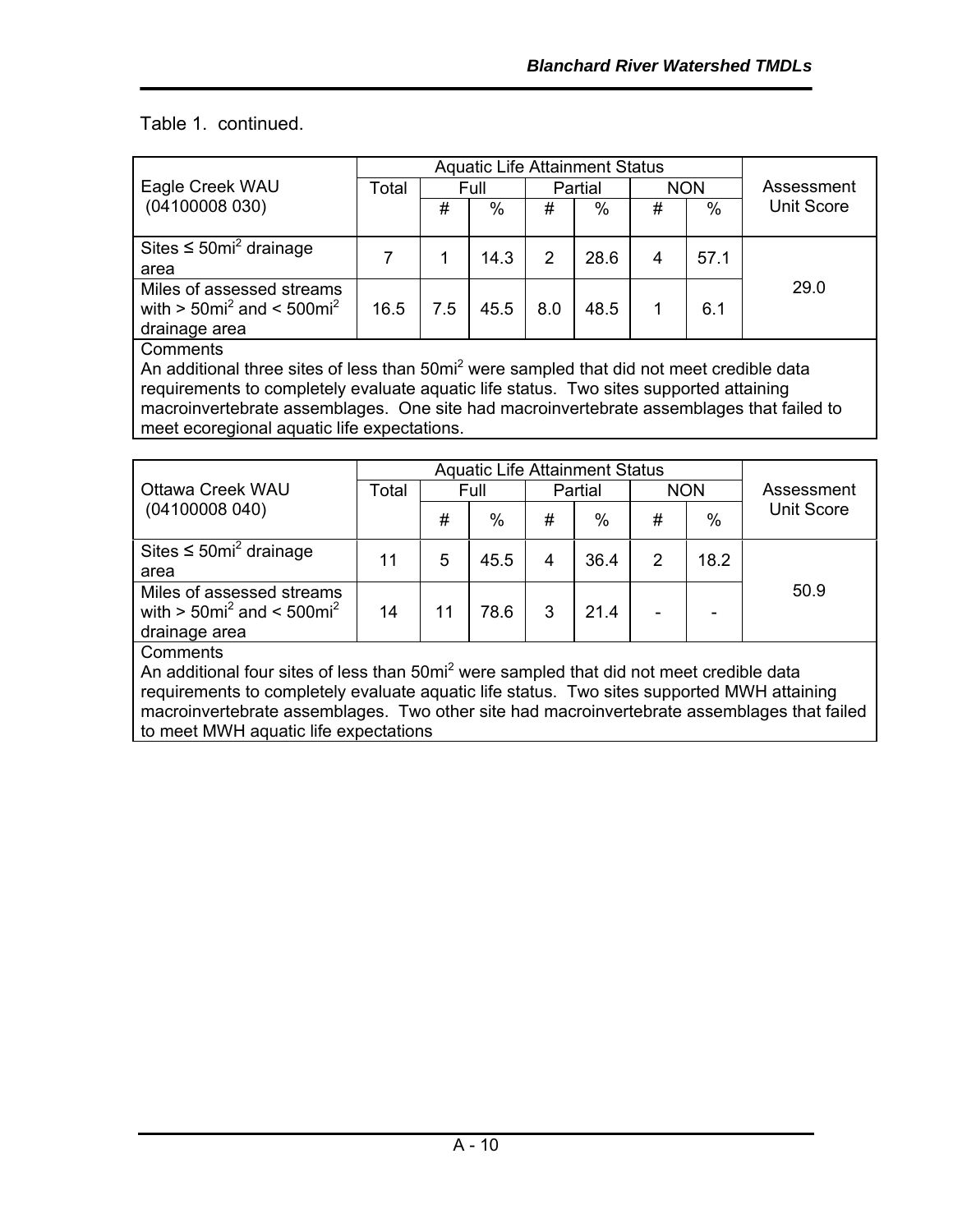# Table 1. continued.

|                                                                                                     |       | <b>Aquatic Life Attainment Status</b> |      |     |         |            |      |                   |
|-----------------------------------------------------------------------------------------------------|-------|---------------------------------------|------|-----|---------|------------|------|-------------------|
| Eagle Creek WAU                                                                                     | Total |                                       | Full |     | Partial | <b>NON</b> |      | Assessment        |
| (04100008030)                                                                                       |       | #                                     | $\%$ | #   | %       | #          | $\%$ | <b>Unit Score</b> |
| Sites $\leq 50$ mi <sup>2</sup> drainage<br>area                                                    |       |                                       | 14.3 | 2   | 28.6    | 4          | 57.1 |                   |
| Miles of assessed streams<br>with $>$ 50mi <sup>2</sup> and $<$ 500mi <sup>2</sup><br>drainage area | 16.5  | 7.5                                   | 45.5 | 8.0 | 48.5    |            | 6.1  | 29.0              |
| Commante                                                                                            |       |                                       |      |     |         |            |      |                   |

Comments

An additional three sites of less than 50mi<sup>2</sup> were sampled that did not meet credible data requirements to completely evaluate aquatic life status. Two sites supported attaining macroinvertebrate assemblages. One site had macroinvertebrate assemblages that failed to meet ecoregional aquatic life expectations.

|                                                                                                     |       |    |      |   | <b>Aquatic Life Attainment Status</b> |   |            |                   |
|-----------------------------------------------------------------------------------------------------|-------|----|------|---|---------------------------------------|---|------------|-------------------|
| <b>Ottawa Creek WAU</b>                                                                             | Total |    | Full |   | Partial                               |   | <b>NON</b> | Assessment        |
| (04100008040)                                                                                       |       | #  | $\%$ | # | $\frac{0}{0}$                         | # | $\%$       | <b>Unit Score</b> |
| Sites $\leq 50$ mi <sup>2</sup> drainage<br>area                                                    | 11    | 5  | 45.5 | 4 | 36.4                                  | 2 | 18.2       |                   |
| Miles of assessed streams<br>with $>$ 50mi <sup>2</sup> and $<$ 500mi <sup>2</sup><br>drainage area | 14    | 11 | 78.6 | 3 | 214                                   |   |            | 50.9              |
| Comments                                                                                            |       |    |      |   |                                       |   |            |                   |

An additional four sites of less than 50mi<sup>2</sup> were sampled that did not meet credible data requirements to completely evaluate aquatic life status. Two sites supported MWH attaining macroinvertebrate assemblages. Two other site had macroinvertebrate assemblages that failed to meet MWH aquatic life expectations